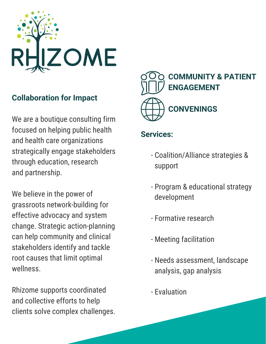

# **Collaboration for Impact**

We are a boutique consulting firm focused on helping public health and health care organizations strategically engage stakeholders through education, research and partnership.

We believe in the power of grassroots network-building for effective advocacy and system change. Strategic action-planning can help community and clinical stakeholders identify and tackle root causes that limit optimal wellness.

Rhizome supports coordinated and collective efforts to help clients solve complex challenges.



# **Services:**

- Coalition/Alliance strategies & support
- Program & educational strategy development
- Formative research
- Meeting facilitation
- Needs assessment, landscape analysis, gap analysis
- Evaluation